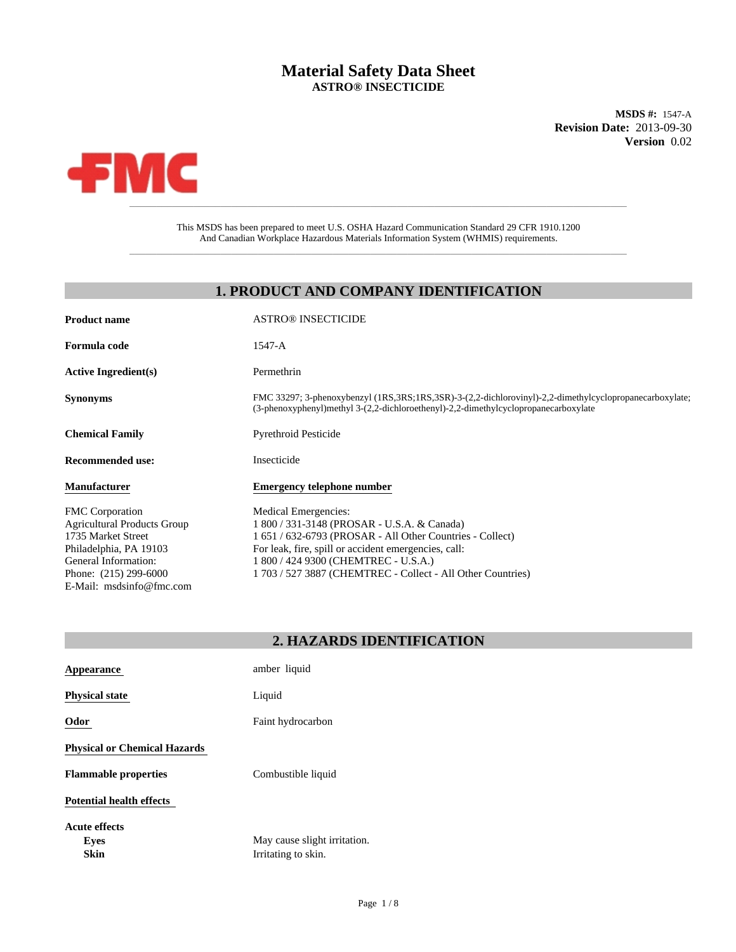# **Material Safety Data Sheet ASTRO® INSECTICIDE**

**MSDS #:** 1547-A **Revision Date:** 2013-09-30 **Version** 0.02



This MSDS has been prepared to meet U.S. OSHA Hazard Communication Standard 29 CFR 1910.1200 And Canadian Workplace Hazardous Materials Information System (WHMIS) requirements.

\_\_\_\_\_\_\_\_\_\_\_\_\_\_\_\_\_\_\_\_\_\_\_\_\_\_\_\_\_\_\_\_\_\_\_\_\_\_\_\_\_\_\_\_\_\_\_\_\_\_\_\_\_\_\_\_\_\_\_\_\_\_\_\_\_\_\_\_\_\_\_\_\_\_\_\_\_\_\_\_\_\_\_\_\_\_\_\_\_\_\_\_\_

## **1. PRODUCT AND COMPANY IDENTIFICATION**

| <b>Product name</b>                                                                                                                                                                       | <b>ASTRO® INSECTICIDE</b>                                                                                                                                                                                                                                                                       |
|-------------------------------------------------------------------------------------------------------------------------------------------------------------------------------------------|-------------------------------------------------------------------------------------------------------------------------------------------------------------------------------------------------------------------------------------------------------------------------------------------------|
| Formula code                                                                                                                                                                              | 1547-A                                                                                                                                                                                                                                                                                          |
| <b>Active Ingredient(s)</b>                                                                                                                                                               | Permethrin                                                                                                                                                                                                                                                                                      |
| <b>Synonyms</b>                                                                                                                                                                           | FMC 33297; 3-phenoxybenzyl (1RS,3RS;1RS,3SR)-3-(2,2-dichlorovinyl)-2,2-dimethylcyclopropanecarboxylate;<br>$(3$ -phenoxyphenyl)methyl $3-(2,2$ -dichloroethenyl)-2,2-dimethylcyclopropanecarboxylate                                                                                            |
| <b>Chemical Family</b>                                                                                                                                                                    | <b>Pyrethroid Pesticide</b>                                                                                                                                                                                                                                                                     |
| <b>Recommended use:</b>                                                                                                                                                                   | Insecticide                                                                                                                                                                                                                                                                                     |
| <b>Manufacturer</b>                                                                                                                                                                       | <b>Emergency telephone number</b>                                                                                                                                                                                                                                                               |
| <b>FMC</b> Corporation<br><b>Agricultural Products Group</b><br>1735 Market Street<br>Philadelphia, PA 19103<br>General Information:<br>Phone: (215) 299-6000<br>E-Mail: msdsinfo@fmc.com | Medical Emergencies:<br>1 800 / 331-3148 (PROSAR - U.S.A. & Canada)<br>1 651 / 632-6793 (PROSAR - All Other Countries - Collect)<br>For leak, fire, spill or accident emergencies, call:<br>1 800 / 424 9300 (CHEMTREC - U.S.A.)<br>1 703 / 527 3887 (CHEMTREC - Collect - All Other Countries) |

| 2. HAZARDS IDENTIFICATION |  |
|---------------------------|--|
|---------------------------|--|

| Appearance                          | amber liquid                                        |
|-------------------------------------|-----------------------------------------------------|
| <b>Physical state</b>               | Liquid                                              |
| Odor                                | Faint hydrocarbon                                   |
| <b>Physical or Chemical Hazards</b> |                                                     |
| <b>Flammable properties</b>         | Combustible liquid                                  |
| <b>Potential health effects</b>     |                                                     |
| Acute effects<br>Eyes<br>Skin       | May cause slight irritation.<br>Irritating to skin. |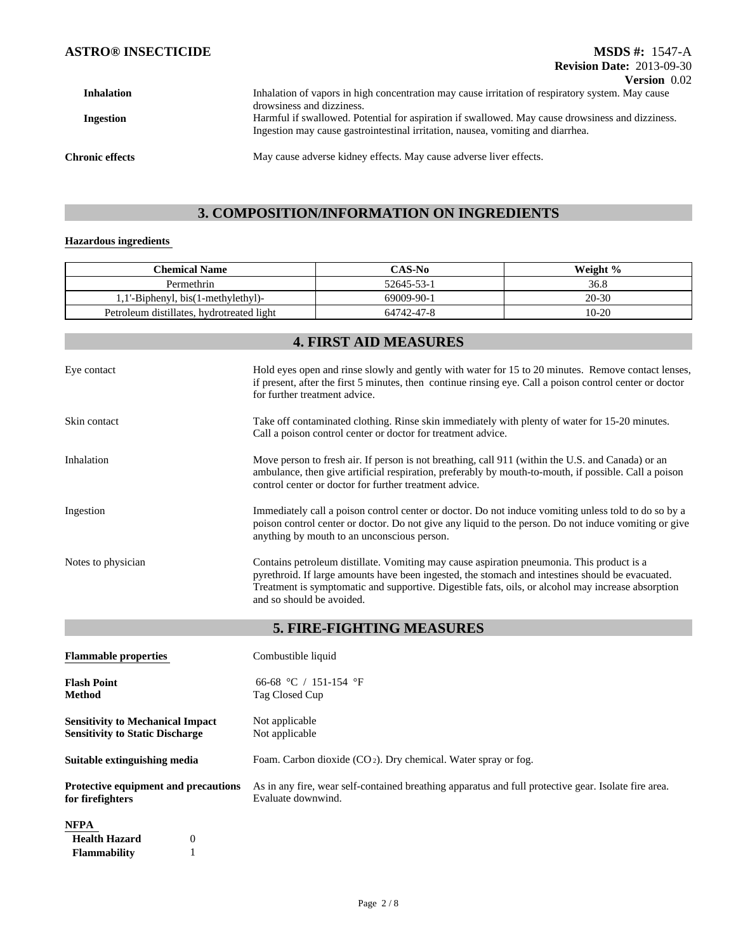| <b>Inhalation</b>      | Inhalation of vapors in high concentration may cause irritation of respiratory system. May cause |
|------------------------|--------------------------------------------------------------------------------------------------|
|                        | drowsiness and dizziness.                                                                        |
| Ingestion              | Harmful if swallowed. Potential for aspiration if swallowed. May cause drowsiness and dizziness. |
|                        | Ingestion may cause gastrointestinal irritation, nausea, vomiting and diarrhea.                  |
|                        |                                                                                                  |
| <b>Chronic effects</b> | May cause adverse kidney effects. May cause adverse liver effects.                               |
|                        |                                                                                                  |

# **3. COMPOSITION/INFORMATION ON INGREDIENTS**

## **Hazardous ingredients**

| <b>Chemical Name</b>                                                              |                                                                                                                                                                                                                                                                                                                                  | CAS-No                                                                                                                                                                                                                                          | Weight % |
|-----------------------------------------------------------------------------------|----------------------------------------------------------------------------------------------------------------------------------------------------------------------------------------------------------------------------------------------------------------------------------------------------------------------------------|-------------------------------------------------------------------------------------------------------------------------------------------------------------------------------------------------------------------------------------------------|----------|
| Permethrin                                                                        |                                                                                                                                                                                                                                                                                                                                  | 52645-53-1                                                                                                                                                                                                                                      | 36.8     |
| 1,1'-Biphenyl, bis(1-methylethyl)-                                                |                                                                                                                                                                                                                                                                                                                                  | 69009-90-1                                                                                                                                                                                                                                      | 20-30    |
| Petroleum distillates, hydrotreated light                                         |                                                                                                                                                                                                                                                                                                                                  | 64742-47-8                                                                                                                                                                                                                                      | $10-20$  |
|                                                                                   |                                                                                                                                                                                                                                                                                                                                  | <b>4. FIRST AID MEASURES</b>                                                                                                                                                                                                                    |          |
| Eye contact                                                                       |                                                                                                                                                                                                                                                                                                                                  | Hold eyes open and rinse slowly and gently with water for 15 to 20 minutes. Remove contact lenses,<br>if present, after the first 5 minutes, then continue rinsing eye. Call a poison control center or doctor<br>for further treatment advice. |          |
| Skin contact                                                                      | Take off contaminated clothing. Rinse skin immediately with plenty of water for 15-20 minutes.<br>Call a poison control center or doctor for treatment advice.                                                                                                                                                                   |                                                                                                                                                                                                                                                 |          |
| Inhalation                                                                        | Move person to fresh air. If person is not breathing, call 911 (within the U.S. and Canada) or an<br>ambulance, then give artificial respiration, preferably by mouth-to-mouth, if possible. Call a poison<br>control center or doctor for further treatment advice.                                                             |                                                                                                                                                                                                                                                 |          |
| Ingestion                                                                         | Immediately call a poison control center or doctor. Do not induce vomiting unless told to do so by a<br>poison control center or doctor. Do not give any liquid to the person. Do not induce vomiting or give<br>anything by mouth to an unconscious person.                                                                     |                                                                                                                                                                                                                                                 |          |
| Notes to physician                                                                | Contains petroleum distillate. Vomiting may cause aspiration pneumonia. This product is a<br>pyrethroid. If large amounts have been ingested, the stomach and intestines should be evacuated.<br>Treatment is symptomatic and supportive. Digestible fats, oils, or alcohol may increase absorption<br>and so should be avoided. |                                                                                                                                                                                                                                                 |          |
|                                                                                   |                                                                                                                                                                                                                                                                                                                                  | 5. FIRE-FIGHTING MEASURES                                                                                                                                                                                                                       |          |
| <b>Flammable properties</b>                                                       | Combustible liquid                                                                                                                                                                                                                                                                                                               |                                                                                                                                                                                                                                                 |          |
| <b>Flash Point</b><br>Method                                                      | 66-68 °C / 151-154 °F<br>Tag Closed Cup                                                                                                                                                                                                                                                                                          |                                                                                                                                                                                                                                                 |          |
| <b>Sensitivity to Mechanical Impact</b><br><b>Sensitivity to Static Discharge</b> | Not applicable<br>Not applicable                                                                                                                                                                                                                                                                                                 |                                                                                                                                                                                                                                                 |          |
| Suitable extinguishing media                                                      |                                                                                                                                                                                                                                                                                                                                  | Foam. Carbon dioxide (CO <sub>2</sub> ). Dry chemical. Water spray or fog.                                                                                                                                                                      |          |
| Protective equipment and precautions<br>for firefighters                          | As in any fire, wear self-contained breathing apparatus and full protective gear. Isolate fire area.<br>Evaluate downwind.                                                                                                                                                                                                       |                                                                                                                                                                                                                                                 |          |
| NFPA                                                                              |                                                                                                                                                                                                                                                                                                                                  |                                                                                                                                                                                                                                                 |          |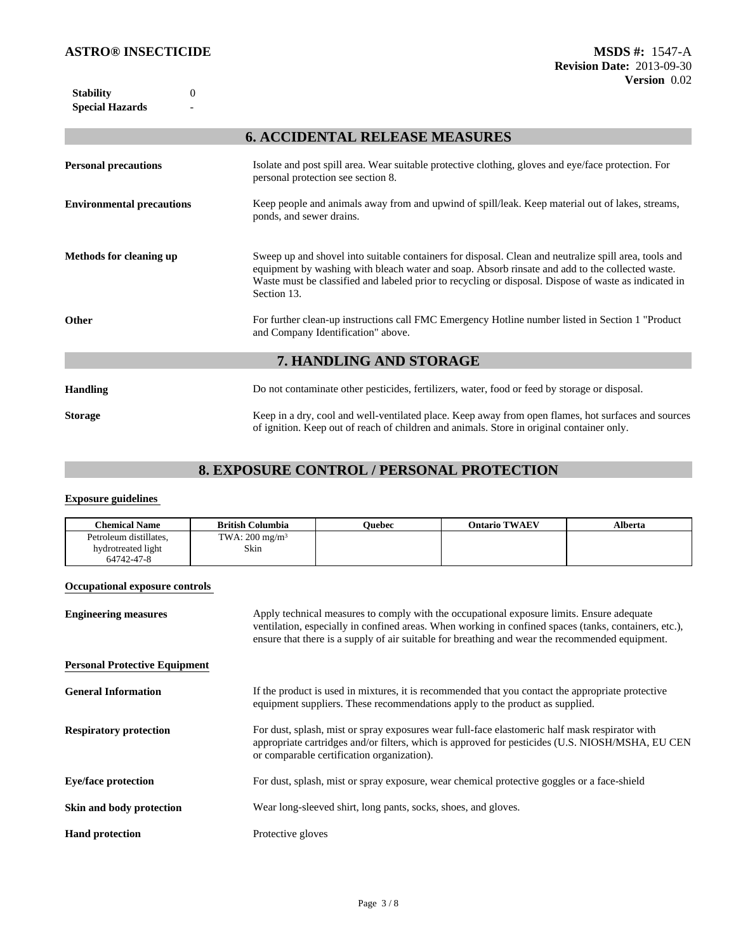0

# **6. ACCIDENTAL RELEASE MEASURES**

| <b>Personal precautions</b>      | Isolate and post spill area. Wear suitable protective clothing, gloves and eye/face protection. For<br>personal protection see section 8.                                                                                                                                                                                        |
|----------------------------------|----------------------------------------------------------------------------------------------------------------------------------------------------------------------------------------------------------------------------------------------------------------------------------------------------------------------------------|
| <b>Environmental precautions</b> | Keep people and animals away from and upwind of spill/leak. Keep material out of lakes, streams,<br>ponds, and sewer drains.                                                                                                                                                                                                     |
| <b>Methods for cleaning up</b>   | Sweep up and shovel into suitable containers for disposal. Clean and neutralize spill area, tools and<br>equipment by washing with bleach water and soap. Absorb rinsate and add to the collected waste.<br>Waste must be classified and labeled prior to recycling or disposal. Dispose of waste as indicated in<br>Section 13. |
| Other                            | For further clean-up instructions call FMC Emergency Hotline number listed in Section 1 "Product"<br>and Company Identification" above.                                                                                                                                                                                          |
|                                  | 7. HANDLING AND STORAGE                                                                                                                                                                                                                                                                                                          |
| <b>Handling</b>                  | Do not contaminate other pesticides, fertilizers, water, food or feed by storage or disposal.                                                                                                                                                                                                                                    |
| <b>Storage</b>                   | Keep in a dry, cool and well-ventilated place. Keep away from open flames, hot surfaces and sources<br>of ignition. Keep out of reach of children and animals. Store in original container only.                                                                                                                                 |

# **8. EXPOSURE CONTROL / PERSONAL PROTECTION**

### **Exposure guidelines**

| <b>Chemical Name</b>                                       | <b>British Columbia</b>           | Ouebec | <b>Ontario TWAEV</b>                                                                      | Alberta |
|------------------------------------------------------------|-----------------------------------|--------|-------------------------------------------------------------------------------------------|---------|
| Petroleum distillates,<br>hydrotreated light<br>64742-47-8 | TWA: $200 \text{ mg/m}^3$<br>Skin |        |                                                                                           |         |
| <b>Occupational exposure controls</b>                      |                                   |        |                                                                                           |         |
| <b>Engineering measures</b>                                |                                   |        | Apply technical measures to comply with the occupational exposure limits. Ensure adequate |         |

|                                      | ventilation, especially in confined areas. When working in confined spaces (tanks, containers, etc.),<br>ensure that there is a supply of air suitable for breathing and wear the recommended equipment.                                         |
|--------------------------------------|--------------------------------------------------------------------------------------------------------------------------------------------------------------------------------------------------------------------------------------------------|
| <b>Personal Protective Equipment</b> |                                                                                                                                                                                                                                                  |
| <b>General Information</b>           | If the product is used in mixtures, it is recommended that you contact the appropriate protective<br>equipment suppliers. These recommendations apply to the product as supplied.                                                                |
| <b>Respiratory protection</b>        | For dust, splash, mist or spray exposures wear full-face elastomeric half mask respirator with<br>appropriate cartridges and/or filters, which is approved for pesticides (U.S. NIOSH/MSHA, EU CEN<br>or comparable certification organization). |
| <b>Eve/face protection</b>           | For dust, splash, mist or spray exposure, wear chemical protective goggles or a face-shield                                                                                                                                                      |
| Skin and body protection             | Wear long-sleeved shirt, long pants, socks, shoes, and gloves.                                                                                                                                                                                   |
| <b>Hand protection</b>               | Protective gloves                                                                                                                                                                                                                                |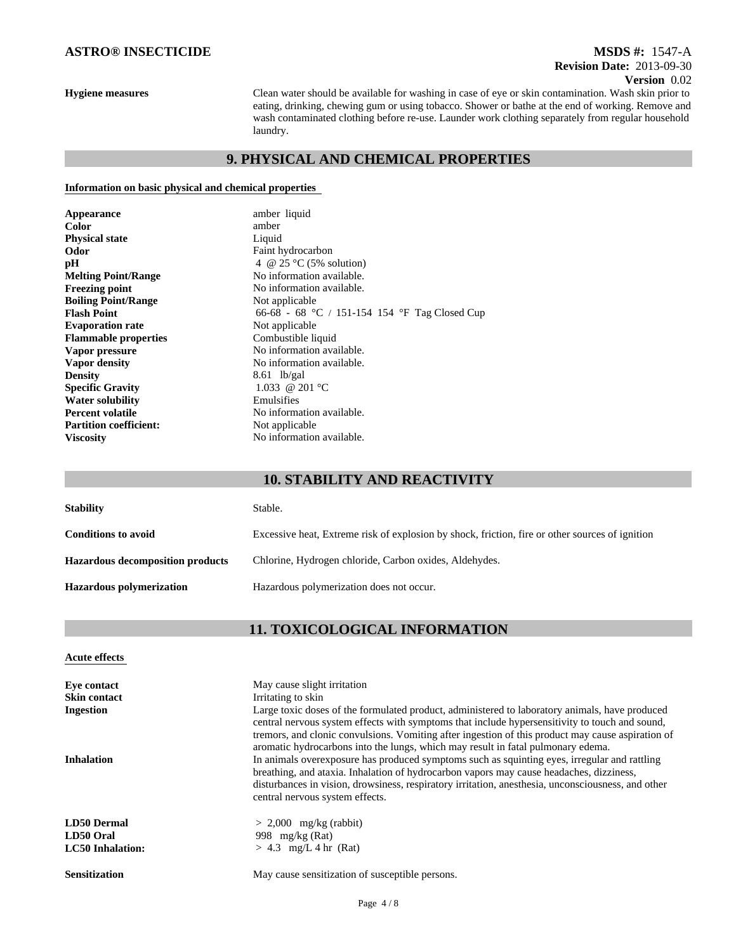### **Hygiene measures**

**Version** 0.02 Clean water should be available for washing in case of eye or skin contamination. Wash skin prior to eating, drinking, chewing gum or using tobacco. Shower or bathe at the end of working. Remove and wash contaminated clothing before re-use. Launder work clothing separately from regular household laundry.

**Revision Date:** 2013-09-30 **MSDS #:** 1547-A

# **9. PHYSICAL AND CHEMICAL PROPERTIES**

### **Information on basic physical and chemical properties**

| Appearance                    | amber liquid                                  |
|-------------------------------|-----------------------------------------------|
| Color                         | amber                                         |
| <b>Physical state</b>         | Liquid                                        |
| Odor                          | Faint hydrocarbon                             |
| рH                            | 4 @ 25 $\degree$ C (5% solution)              |
| <b>Melting Point/Range</b>    | No information available.                     |
| <b>Freezing point</b>         | No information available.                     |
| <b>Boiling Point/Range</b>    | Not applicable                                |
| <b>Flash Point</b>            | 66-68 - 68 °C / 151-154 154 °F Tag Closed Cup |
| <b>Evaporation rate</b>       | Not applicable                                |
| <b>Flammable properties</b>   | Combustible liquid                            |
| Vapor pressure                | No information available.                     |
| Vapor density                 | No information available.                     |
| <b>Density</b>                | $8.61$ lb/gal                                 |
| <b>Specific Gravity</b>       | 1.033 @ 201 °C                                |
| <b>Water solubility</b>       | Emulsifies                                    |
| <b>Percent volatile</b>       | No information available.                     |
| <b>Partition coefficient:</b> | Not applicable                                |
| <b>Viscosity</b>              | No information available.                     |

## **10. STABILITY AND REACTIVITY**

| <b>Stability</b>                        | Stable.                                                                                         |  |
|-----------------------------------------|-------------------------------------------------------------------------------------------------|--|
| <b>Conditions to avoid</b>              | Excessive heat, Extreme risk of explosion by shock, friction, fire or other sources of ignition |  |
| <b>Hazardous decomposition products</b> | Chlorine, Hydrogen chloride, Carbon oxides, Aldehydes.                                          |  |
| <b>Hazardous polymerization</b>         | Hazardous polymerization does not occur.                                                        |  |

# **11. TOXICOLOGICAL INFORMATION**

### **Acute effects**

| Eve contact             | May cause slight irritation                                                                                                                                                                                                                                                                                                                                                                                                                                                                                                                                                                                                 |
|-------------------------|-----------------------------------------------------------------------------------------------------------------------------------------------------------------------------------------------------------------------------------------------------------------------------------------------------------------------------------------------------------------------------------------------------------------------------------------------------------------------------------------------------------------------------------------------------------------------------------------------------------------------------|
| <b>Skin contact</b>     | Irritating to skin                                                                                                                                                                                                                                                                                                                                                                                                                                                                                                                                                                                                          |
| <b>Ingestion</b>        | Large toxic doses of the formulated product, administered to laboratory animals, have produced                                                                                                                                                                                                                                                                                                                                                                                                                                                                                                                              |
| <b>Inhalation</b>       | central nervous system effects with symptoms that include hypersensitivity to touch and sound,<br>tremors, and clonic convulsions. Vomiting after ingestion of this product may cause aspiration of<br>aromatic hydrocarbons into the lungs, which may result in fatal pulmonary edema.<br>In animals overexposure has produced symptoms such as squinting eyes, irregular and rattling<br>breathing, and ataxia. Inhalation of hydrocarbon vapors may cause headaches, dizziness,<br>disturbances in vision, drowsiness, respiratory irritation, anesthesia, unconsciousness, and other<br>central nervous system effects. |
| <b>LD50 Dermal</b>      | $> 2,000$ mg/kg (rabbit)                                                                                                                                                                                                                                                                                                                                                                                                                                                                                                                                                                                                    |
| LD50 Oral               | 998 $mg/kg$ (Rat)                                                                                                                                                                                                                                                                                                                                                                                                                                                                                                                                                                                                           |
| <b>LC50</b> Inhalation: | $> 4.3$ mg/L 4 hr (Rat)                                                                                                                                                                                                                                                                                                                                                                                                                                                                                                                                                                                                     |
| <b>Sensitization</b>    | May cause sensitization of susceptible persons.                                                                                                                                                                                                                                                                                                                                                                                                                                                                                                                                                                             |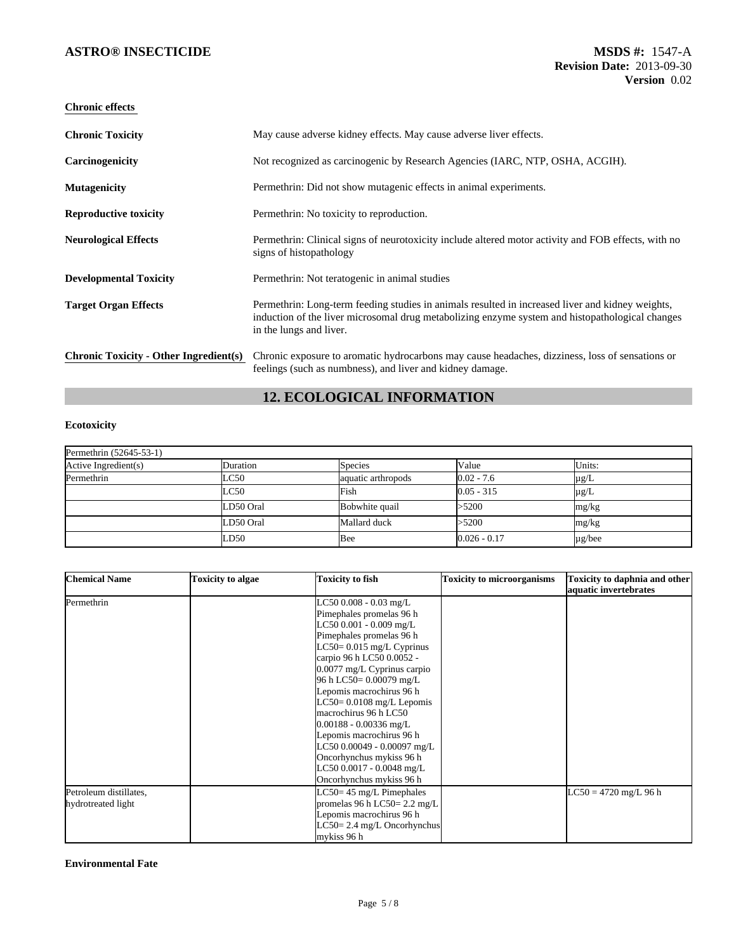| <b>Chronic Toxicity</b>                       | May cause adverse kidney effects. May cause adverse liver effects.                                                                                                                                                             |
|-----------------------------------------------|--------------------------------------------------------------------------------------------------------------------------------------------------------------------------------------------------------------------------------|
| Carcinogenicity                               | Not recognized as carcinogenic by Research Agencies (IARC, NTP, OSHA, ACGIH).                                                                                                                                                  |
| <b>Mutagenicity</b>                           | Permethrin: Did not show mutagenic effects in animal experiments.                                                                                                                                                              |
| <b>Reproductive toxicity</b>                  | Permethrin: No toxicity to reproduction.                                                                                                                                                                                       |
| <b>Neurological Effects</b>                   | Permethrin: Clinical signs of neurotoxicity include altered motor activity and FOB effects, with no<br>signs of histopathology                                                                                                 |
| <b>Developmental Toxicity</b>                 | Permethrin: Not teratogenic in animal studies                                                                                                                                                                                  |
| <b>Target Organ Effects</b>                   | Permethrin: Long-term feeding studies in animals resulted in increased liver and kidney weights,<br>induction of the liver microsomal drug metabolizing enzyme system and histopathological changes<br>in the lungs and liver. |
| <b>Chronic Toxicity - Other Ingredient(s)</b> | Chronic exposure to aromatic hydrocarbons may cause headaches, dizziness, loss of sensations or<br>feelings (such as numbness), and liver and kidney damage.                                                                   |

# **12. ECOLOGICAL INFORMATION**

### **Ecotoxicity**

| Permethrin (52645-53-1) |           |                    |                |             |  |
|-------------------------|-----------|--------------------|----------------|-------------|--|
| Active Ingredient(s)    | Duration  | <b>Species</b>     | Value          | Units:      |  |
| Permethrin              | LC50      | aquatic arthropods | $0.02 - 7.6$   | µg/L        |  |
|                         | LC50      | Fish               | $0.05 - 315$   | $\mu$ g/L   |  |
|                         | LD50 Oral | Bobwhite quail     | >5200          | mg/kg       |  |
|                         | LD50 Oral | Mallard duck       | >5200          | mg/kg       |  |
|                         | LD50      | Bee                | $0.026 - 0.17$ | $\mu$ g/bee |  |

| <b>Chemical Name</b>   | <b>Toxicity to algae</b> | <b>Toxicity to fish</b>                | <b>Toxicity to microorganisms</b> | Toxicity to daphnia and other<br>aquatic invertebrates |
|------------------------|--------------------------|----------------------------------------|-----------------------------------|--------------------------------------------------------|
| Permethrin             |                          | LC50 0.008 - 0.03 mg/L                 |                                   |                                                        |
|                        |                          | Pimephales promelas 96 h               |                                   |                                                        |
|                        |                          | LC50 0.001 - 0.009 mg/L                |                                   |                                                        |
|                        |                          | Pimephales promelas 96 h               |                                   |                                                        |
|                        |                          | LC50= $0.015$ mg/L Cyprinus            |                                   |                                                        |
|                        |                          | carpio 96 h LC50 0.0052 -              |                                   |                                                        |
|                        |                          | 0.0077 mg/L Cyprinus carpio            |                                   |                                                        |
|                        |                          | 96 h LC50= 0.00079 mg/L                |                                   |                                                        |
|                        |                          | Lepomis macrochirus 96 h               |                                   |                                                        |
|                        |                          | $LC50 = 0.0108$ mg/L Lepomis           |                                   |                                                        |
|                        |                          | macrochirus 96 h LC50                  |                                   |                                                        |
|                        |                          | $0.00188 - 0.00336$ mg/L               |                                   |                                                        |
|                        |                          | Lepomis macrochirus 96 h               |                                   |                                                        |
|                        |                          | LC50 0.00049 - 0.00097 mg/L            |                                   |                                                        |
|                        |                          | Oncorhynchus mykiss 96 h               |                                   |                                                        |
|                        |                          | LC50 0.0017 - 0.0048 mg/L              |                                   |                                                        |
|                        |                          | Oncorhynchus mykiss 96 h               |                                   |                                                        |
| Petroleum distillates, |                          | $LC50 = 45$ mg/L Pimephales            |                                   | $LC50 = 4720$ mg/L 96 h                                |
| hydrotreated light     |                          | promelas 96 h LC50= $2.2 \text{ mg/L}$ |                                   |                                                        |
|                        |                          | Lepomis macrochirus 96 h               |                                   |                                                        |
|                        |                          | LC50= 2.4 mg/L Oncorhynchus            |                                   |                                                        |
|                        |                          | mykiss 96 h                            |                                   |                                                        |

### **Environmental Fate**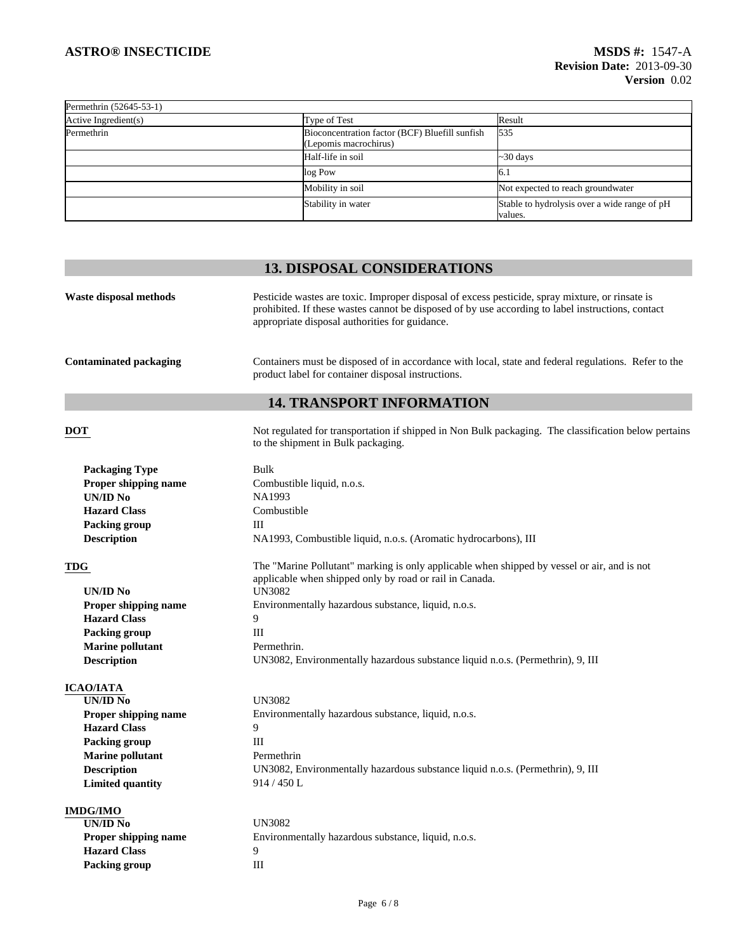| Permethrin (52645-53-1) |                                                                         |                                                         |
|-------------------------|-------------------------------------------------------------------------|---------------------------------------------------------|
| Active Ingredient(s)    | Type of Test                                                            | Result                                                  |
| Permethrin              | Bioconcentration factor (BCF) Bluefill sunfish<br>(Lepomis macrochirus) | 535                                                     |
|                         | Half-life in soil                                                       | $\sim$ 30 days                                          |
|                         | log Pow                                                                 | l6. l                                                   |
|                         | Mobility in soil                                                        | Not expected to reach groundwater                       |
|                         | Stability in water                                                      | Stable to hydrolysis over a wide range of pH<br>values. |

# **13. DISPOSAL CONSIDERATIONS**

| Pesticide wastes are toxic. Improper disposal of excess pesticide, spray mixture, or rinsate is<br>Waste disposal methods<br>prohibited. If these wastes cannot be disposed of by use according to label instructions, contact<br>appropriate disposal authorities for guidance. |                                                                                                                                                            |  |  |  |
|----------------------------------------------------------------------------------------------------------------------------------------------------------------------------------------------------------------------------------------------------------------------------------|------------------------------------------------------------------------------------------------------------------------------------------------------------|--|--|--|
| <b>Contaminated packaging</b>                                                                                                                                                                                                                                                    | Containers must be disposed of in accordance with local, state and federal regulations. Refer to the<br>product label for container disposal instructions. |  |  |  |
|                                                                                                                                                                                                                                                                                  | <b>14. TRANSPORT INFORMATION</b>                                                                                                                           |  |  |  |
| <b>DOT</b>                                                                                                                                                                                                                                                                       | Not regulated for transportation if shipped in Non Bulk packaging. The classification below pertains<br>to the shipment in Bulk packaging.                 |  |  |  |
| <b>Packaging Type</b>                                                                                                                                                                                                                                                            | Bulk                                                                                                                                                       |  |  |  |
| Proper shipping name                                                                                                                                                                                                                                                             | Combustible liquid, n.o.s.                                                                                                                                 |  |  |  |
| <b>UN/ID No</b>                                                                                                                                                                                                                                                                  | NA1993                                                                                                                                                     |  |  |  |
| <b>Hazard Class</b>                                                                                                                                                                                                                                                              | Combustible                                                                                                                                                |  |  |  |
| <b>Packing group</b>                                                                                                                                                                                                                                                             | Ш                                                                                                                                                          |  |  |  |
| <b>Description</b>                                                                                                                                                                                                                                                               | NA1993, Combustible liquid, n.o.s. (Aromatic hydrocarbons), III                                                                                            |  |  |  |
| TDG                                                                                                                                                                                                                                                                              | The "Marine Pollutant" marking is only applicable when shipped by vessel or air, and is not<br>applicable when shipped only by road or rail in Canada.     |  |  |  |
| UN/ID No                                                                                                                                                                                                                                                                         | <b>UN3082</b>                                                                                                                                              |  |  |  |
| <b>Proper shipping name</b>                                                                                                                                                                                                                                                      | Environmentally hazardous substance, liquid, n.o.s.                                                                                                        |  |  |  |
| <b>Hazard Class</b>                                                                                                                                                                                                                                                              | 9                                                                                                                                                          |  |  |  |
| <b>Packing group</b>                                                                                                                                                                                                                                                             | Ш                                                                                                                                                          |  |  |  |
| <b>Marine pollutant</b>                                                                                                                                                                                                                                                          | Permethrin.                                                                                                                                                |  |  |  |
| <b>Description</b>                                                                                                                                                                                                                                                               | UN3082, Environmentally hazardous substance liquid n.o.s. (Permethrin), 9, III                                                                             |  |  |  |
| <b>ICAO/IATA</b>                                                                                                                                                                                                                                                                 |                                                                                                                                                            |  |  |  |
| <b>UN/ID No</b>                                                                                                                                                                                                                                                                  | <b>UN3082</b>                                                                                                                                              |  |  |  |
| <b>Proper shipping name</b>                                                                                                                                                                                                                                                      | Environmentally hazardous substance, liquid, n.o.s.                                                                                                        |  |  |  |
| <b>Hazard Class</b>                                                                                                                                                                                                                                                              | 9                                                                                                                                                          |  |  |  |
| <b>Packing group</b>                                                                                                                                                                                                                                                             | Ш                                                                                                                                                          |  |  |  |
| <b>Marine pollutant</b>                                                                                                                                                                                                                                                          | Permethrin                                                                                                                                                 |  |  |  |
| <b>Description</b>                                                                                                                                                                                                                                                               | UN3082, Environmentally hazardous substance liquid n.o.s. (Permethrin), 9, III                                                                             |  |  |  |
| <b>Limited quantity</b>                                                                                                                                                                                                                                                          | 914 / 450 L                                                                                                                                                |  |  |  |
| <b>IMDG/IMO</b>                                                                                                                                                                                                                                                                  |                                                                                                                                                            |  |  |  |
| $\overline{UN/ID N_0}$                                                                                                                                                                                                                                                           | <b>UN3082</b>                                                                                                                                              |  |  |  |
| Proper shipping name                                                                                                                                                                                                                                                             | Environmentally hazardous substance, liquid, n.o.s.                                                                                                        |  |  |  |
| <b>Hazard Class</b>                                                                                                                                                                                                                                                              | 9                                                                                                                                                          |  |  |  |
| <b>Packing group</b>                                                                                                                                                                                                                                                             | $\mathop{\rm III}$                                                                                                                                         |  |  |  |
|                                                                                                                                                                                                                                                                                  |                                                                                                                                                            |  |  |  |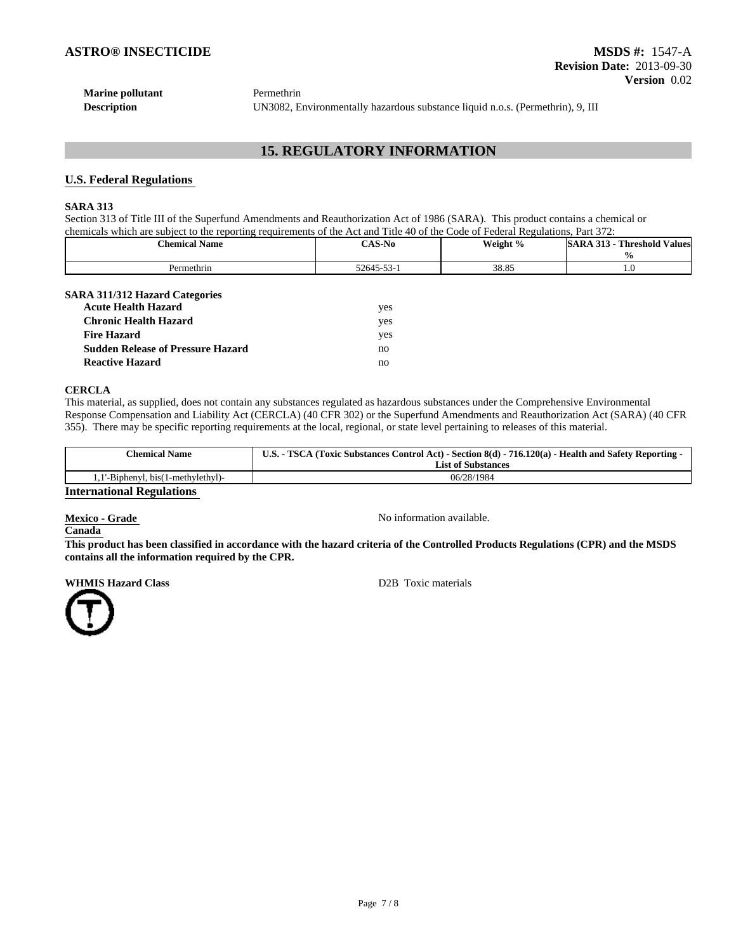| <b>Marine pollutant</b> | Permethrin                                                                     |
|-------------------------|--------------------------------------------------------------------------------|
| <b>Description</b>      | UN3082, Environmentally hazardous substance liquid n.o.s. (Permethrin), 9. III |

## **15. REGULATORY INFORMATION**

### **U.S. Federal Regulations**

### **SARA 313**

Section 313 of Title III of the Superfund Amendments and Reauthorization Act of 1986 (SARA). This product contains a chemical or chemicals which are subject to the reporting requirements of the Act and Title 40 of the Code of Federal Regulations, Part 372:

| $\cdots$<br><b>Chemical Name</b> | <b>CAS-No</b>       | Weight % | <b>Threshold Values</b><br>313<br>SARA |  |
|----------------------------------|---------------------|----------|----------------------------------------|--|
| Permethrin                       | 52645-53-<br>D-D.S- | 38.85    | 1.0                                    |  |

#### **SARA 311/312 Hazard Categories**

| <b>Acute Health Hazard</b>               | yes |
|------------------------------------------|-----|
| <b>Chronic Health Hazard</b>             | ves |
| <b>Fire Hazard</b>                       | yes |
| <b>Sudden Release of Pressure Hazard</b> | no  |
| <b>Reactive Hazard</b>                   | no  |

#### **CERCLA**

This material, as supplied, does not contain any substances regulated as hazardous substances under the Comprehensive Environmental Response Compensation and Liability Act (CERCLA) (40 CFR 302) or the Superfund Amendments and Reauthorization Act (SARA) (40 CFR 355). There may be specific reporting requirements at the local, regional, or state level pertaining to releases of this material.

| <b>Chemical Name</b>             | U.S. - TSCA (Toxic Substances Control Act) - Section 8(d) - 716.120(a) - Health and Safety Reporting - |  |
|----------------------------------|--------------------------------------------------------------------------------------------------------|--|
|                                  | <b>List of Substances</b>                                                                              |  |
| 1'-Biphenyl, bis(1-methylethyl)- | 06/28/1984                                                                                             |  |
| <b>International Regulations</b> |                                                                                                        |  |

**Mexico - Grade No information available.** No information available.

### **Canada**

**This product has been classified in accordance with the hazard criteria of the Controlled Products Regulations (CPR) and the MSDS contains all the information required by the CPR.**

**WHMIS Hazard Class D2B** Toxic materials